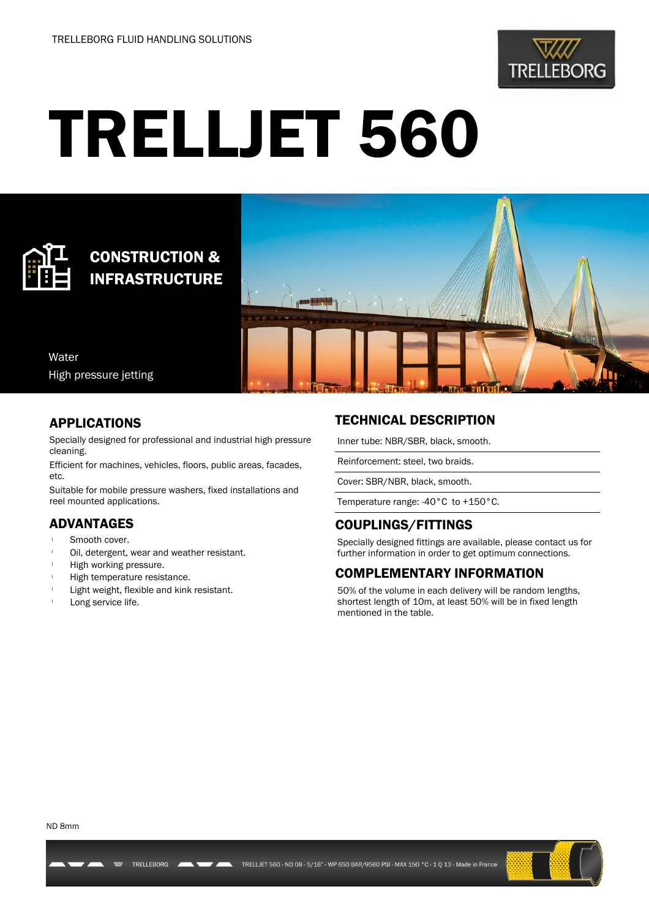

# TRELLJET 560



## CONSTRUCTION & INFRASTRUCTURE



Water High pressure jetting

#### APPLICATIONS

Specially designed for professional and industrial high pressure cleaning.

Efficient for machines, vehicles, floors, public areas, facades, etc.

Suitable for mobile pressure washers, fixed installations and reel mounted applications.

#### ADVANTAGES

- Smooth cover.
- Oil, detergent, wear and weather resistant.
- High working pressure.
- High temperature resistance.
- Light weight, flexible and kink resistant.

TRELLEBORG

Long service life.

### TECHNICAL DESCRIPTION

Inner tube: NBR/SBR, black, smooth.

Reinforcement: steel, two braids.

Cover: SBR/NBR, black, smooth.

Temperature range: -40°C to +150°C.

#### COUPLINGS/FITTINGS

Specially designed fittings are available, please contact us for further information in order to get optimum connections.

#### COMPLEMENTARY INFORMATION

50% of the volume in each delivery will be random lengths, shortest length of 10m, at least 50% will be in fixed length mentioned in the table.

ND 8mm